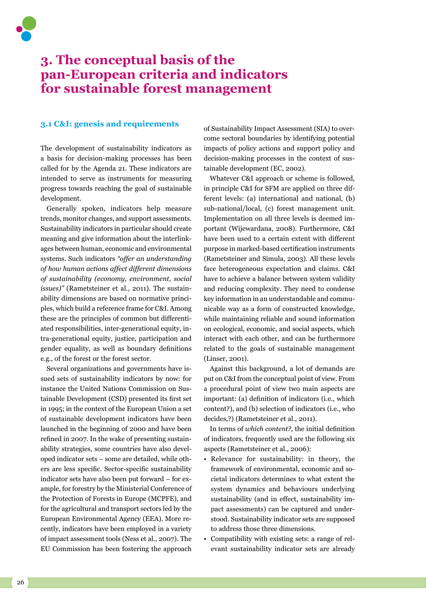# **3. The conceptual basis of the pan-European criteria and indicators for sustainable forest management**

#### **3.1 C&I: genesis and requirements**

The development of sustainability indicators as a basis for decision-making processes has been called for by the Agenda 21. These indicators are intended to serve as instruments for measuring progress towards reaching the goal of sustainable development.

Generally spoken, indicators help measure trends, monitor changes, and support assessments. Sustainability indicators in particular should create meaning and give information about the interlinkages between human, economic and environmental systems. Such indicators *"offer an understanding of how human actions affect different dimensions of sustainability (economy, environment, social issues)"* (Rametsteiner et al., 2011). The sustainability dimensions are based on normative principles, which build a reference frame for C&I. Among these are the principles of common but differentiated responsibilities, inter-generational equity, intra-generational equity, justice, participation and gender equality, as well as boundary definitions e.g., of the forest or the forest sector.

Several organizations and governments have issued sets of sustainability indicators by now: for instance the United Nations Commission on Sustainable Development (CSD) presented its first set in 1995; in the context of the European Union a set of sustainable development indicators have been launched in the beginning of 2000 and have been refined in 2007. In the wake of presenting sustainability strategies, some countries have also developed indicator sets – some are detailed, while others are less specific. Sector-specific sustainability indicator sets have also been put forward – for example, for forestry by the Ministerial Conference of the Protection of Forests in Europe (MCPFE), and for the agricultural and transport sectors led by the European Environmental Agency (EEA). More recently, indicators have been employed in a variety of impact assessment tools (Ness et al., 2007). The EU Commission has been fostering the approach

of Sustainability Impact Assessment (SIA) to overcome sectoral boundaries by identifying potential impacts of policy actions and support policy and decision-making processes in the context of sustainable development (EC, 2002).

Whatever C&I approach or scheme is followed. in principle C&I for SFM are applied on three different levels: (a) international and national, (b) sub-national/local, (c) forest management unit. Implementation on all three levels is deemed important (Wijewardana, 2008). Furthermore, C&I have been used to a certain extent with different purpose in marked-based certification instruments (Rametsteiner and Simula, 2003). All these levels face heterogeneous expectation and claims. C&I have to achieve a balance between system validity and reducing complexity. They need to condense key information in an understandable and communicable way as a form of constructed knowledge, while maintaining reliable and sound information on ecological, economic, and social aspects, which interact with each other, and can be furthermore related to the goals of sustainable management (Linser, 2001).

Against this background, a lot of demands are put on C&I from the conceptual point of view. From a procedural point of view two main aspects are important: (a) definition of indicators (i.e., which content?), and (b) selection of indicators (i.e., who decides,?) (Rametsteiner et al., 2011).

In terms of *which content?,* the initial definition of indicators, frequently used are the following six aspects (Rametsteiner et al., 2006):

- Relevance for sustainability: in theory, the framework of environmental, economic and societal indicators determines to what extent the system dynamics and behaviours underlying sustainability (and in effect, sustainability impact assessments) can be captured and understood. Sustainability indicator sets are supposed to address those three dimensions.
- Compatibility with existing sets: a range of relevant sustainability indicator sets are already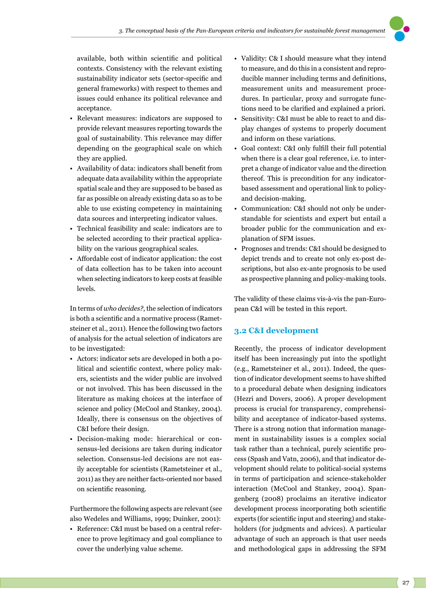available, both within scientific and political contexts. Consistency with the relevant existing sustainability indicator sets (sector-specific and general frameworks) with respect to themes and issues could enhance its political relevance and acceptance.

- Relevant measures: indicators are supposed to provide relevant measures reporting towards the goal of sustainability. This relevance may differ depending on the geographical scale on which they are applied.
- Availability of data: indicators shall benefit from adequate data availability within the appropriate spatial scale and they are supposed to be based as far as possible on already existing data so as to be able to use existing competency in maintaining data sources and interpreting indicator values.
- Technical feasibility and scale: indicators are to be selected according to their practical applicability on the various geographical scales.
- Affordable cost of indicator application: the cost of data collection has to be taken into account when selecting indicators to keep costs at feasible levels.

In terms of *who decides?*, the selection of indicators is both a scientific and a normative process (Rametsteiner et al., 2011). Hence the following two factors of analysis for the actual selection of indicators are to be investigated:

- Actors: indicator sets are developed in both a political and scientific context, where policy makers, scientists and the wider public are involved or not involved. This has been discussed in the literature as making choices at the interface of science and policy (McCool and Stankey, 2004). Ideally, there is consensus on the objectives of C&I before their design.
- Decision-making mode: hierarchical or consensus-led decisions are taken during indicator selection. Consensus-led decisions are not easily acceptable for scientists (Rametsteiner et al., 2011) as they are neither facts-oriented nor based on scientific reasoning.

Furthermore the following aspects are relevant (see also Wedeles and Williams, 1999; Duinker, 2001):

Reference: C&I must be based on a central reference to prove legitimacy and goal compliance to cover the underlying value scheme.

- Validity: C& I should measure what they intend to measure, and do this in a consistent and reproducible manner including terms and definitions, measurement units and measurement procedures. In particular, proxy and surrogate functions need to be clarified and explained a priori.
- Sensitivity: C&I must be able to react to and display changes of systems to properly document and inform on these variations.
- Goal context: C&I only fulfill their full potential when there is a clear goal reference, i.e. to interpret a change of indicator value and the direction thereof. This is precondition for any indicatorbased assessment and operational link to policyand decision-making.
- Communication: C&I should not only be understandable for scientists and expert but entail a broader public for the communication and explanation of SFM issues.
- Prognoses and trends: C&I should be designed to depict trends and to create not only ex-post descriptions, but also ex-ante prognosis to be used as prospective planning and policy-making tools.

The validity of these claims vis-à-vis the pan-European C&I will be tested in this report.

## **3.2 C&I development**

Recently, the process of indicator development itself has been increasingly put into the spotlight (e.g., Rametsteiner et al., 2011). Indeed, the question of indicator development seems to have shifted to a procedural debate when designing indicators (Hezri and Dovers, 2006). A proper development process is crucial for transparency, comprehensibility and acceptance of indicator-based systems. There is a strong notion that information management in sustainability issues is a complex social task rather than a technical, purely scientific process (Spash and Vatn, 2006), and that indicator development should relate to political-social systems in terms of participation and science-stakeholder interaction (McCool and Stankey, 2004). Spangenberg (2008) proclaims an iterative indicator development process incorporating both scientific experts (for scientific input and steering) and stakeholders (for judgments and advices). A particular advantage of such an approach is that user needs and methodological gaps in addressing the SFM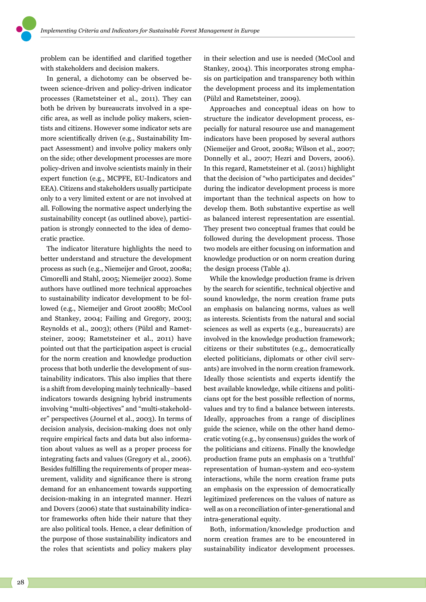problem can be identified and clarified together with stakeholders and decision makers.

In general, a dichotomy can be observed between science-driven and policy-driven indicator processes (Rametsteiner et al., 2011). They can both be driven by bureaucrats involved in a specific area, as well as include policy makers, scientists and citizens. However some indicator sets are more scientifically driven (e.g., Sustainability Impact Assessment) and involve policy makers only on the side; other development processes are more policy-driven and involve scientists mainly in their expert function (e.g., MCPFE, EU-Indicators and EEA). Citizens and stakeholders usually participate only to a very limited extent or are not involved at all. Following the normative aspect underlying the sustainability concept (as outlined above), participation is strongly connected to the idea of democratic practice.

The indicator literature highlights the need to better understand and structure the development process as such (e.g., Niemeijer and Groot, 2008a; Cimorelli and Stahl, 2005; Niemeijer 2002). Some authors have outlined more technical approaches to sustainability indicator development to be followed (e.g., Niemeijer and Groot 2008b; McCool and Stankey, 2004; Failing and Gregory, 2003; Reynolds et al., 2003); others (Pülzl and Rametsteiner, 2009; Rametsteiner et al., 2011) have pointed out that the participation aspect is crucial for the norm creation and knowledge production process that both underlie the development of sustainability indicators. This also implies that there is a shift from developing mainly technically–based indicators towards designing hybrid instruments involving "multi-objectives" and "multi-stakeholder" perspectives (Journel et al., 2003). In terms of decision analysis, decision-making does not only require empirical facts and data but also information about values as well as a proper process for integrating facts and values (Gregory et al., 2006). Besides fulfilling the requirements of proper measurement, validity and significance there is strong demand for an enhancement towards supporting decision-making in an integrated manner. Hezri and Dovers (2006) state that sustainability indicator frameworks often hide their nature that they are also political tools. Hence, a clear definition of the purpose of those sustainability indicators and the roles that scientists and policy makers play

in their selection and use is needed (McCool and Stankey, 2004). This incorporates strong emphasis on participation and transparency both within the development process and its implementation (Pülzl and Rametsteiner, 2009).

Approaches and conceptual ideas on how to structure the indicator development process, especially for natural resource use and management indicators have been proposed by several authors (Niemeijer and Groot, 2008a; Wilson et al., 2007; Donnelly et al., 2007; Hezri and Dovers, 2006). In this regard, Rametsteiner et al. (2011) highlight that the decision of "who participates and decides" during the indicator development process is more important than the technical aspects on how to develop them. Both substantive expertise as well as balanced interest representation are essential. They present two conceptual frames that could be followed during the development process. Those two models are either focusing on information and knowledge production or on norm creation during the design process (Table 4).

While the knowledge production frame is driven by the search for scientific, technical objective and sound knowledge, the norm creation frame puts an emphasis on balancing norms, values as well as interests. Scientists from the natural and social sciences as well as experts (e.g., bureaucrats) are involved in the knowledge production framework; citizens or their substitutes (e.g., democratically elected politicians, diplomats or other civil servants) are involved in the norm creation framework. Ideally those scientists and experts identify the best available knowledge, while citizens and politicians opt for the best possible reflection of norms, values and try to find a balance between interests. Ideally, approaches from a range of disciplines guide the science, while on the other hand democratic voting (e.g., by consensus) guides the work of the politicians and citizens. Finally the knowledge production frame puts an emphasis on a 'truthful' representation of human-system and eco-system interactions, while the norm creation frame puts an emphasis on the expression of democratically legitimized preferences on the values of nature as well as on a reconciliation of inter-generational and intra-generational equity.

Both, information/knowledge production and norm creation frames are to be encountered in sustainability indicator development processes.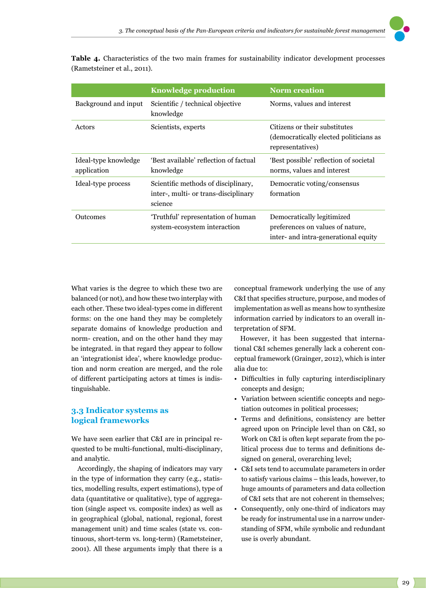

**Table 4.** Characteristics of the two main frames for sustainability indicator development processes (Rametsteiner et al., 2011).

|                                     | <b>Knowledge production</b>                                                            | <b>Norm</b> creation                                                                                   |
|-------------------------------------|----------------------------------------------------------------------------------------|--------------------------------------------------------------------------------------------------------|
| Background and input                | Scientific / technical objective<br>knowledge                                          | Norms, values and interest                                                                             |
| Actors                              | Scientists, experts                                                                    | Citizens or their substitutes<br>(democratically elected politicians as<br>representatives)            |
| Ideal-type knowledge<br>application | 'Best available' reflection of factual<br>knowledge                                    | 'Best possible' reflection of societal<br>norms, values and interest                                   |
| Ideal-type process                  | Scientific methods of disciplinary,<br>inter-, multi- or trans-disciplinary<br>science | Democratic voting/consensus<br>formation                                                               |
| Outcomes                            | 'Truthful' representation of human<br>system-ecosystem interaction                     | Democratically legitimized<br>preferences on values of nature,<br>inter- and intra-generational equity |

What varies is the degree to which these two are balanced (or not), and how these two interplay with each other. These two ideal-types come in different forms: on the one hand they may be completely separate domains of knowledge production and norm- creation, and on the other hand they may be integrated. in that regard they appear to follow an 'integrationist idea', where knowledge production and norm creation are merged, and the role of different participating actors at times is indistinguishable.

## **3.3 Indicator systems as logical frameworks**

We have seen earlier that C&I are in principal requested to be multi-functional, multi-disciplinary, and analytic.

Accordingly, the shaping of indicators may vary in the type of information they carry (e.g., statistics, modelling results, expert estimations), type of data (quantitative or qualitative), type of aggregation (single aspect vs. composite index) as well as in geographical (global, national, regional, forest management unit) and time scales (state vs. continuous, short-term vs. long-term) (Rametsteiner, 2001). All these arguments imply that there is a conceptual framework underlying the use of any C&I that specifies structure, purpose, and modes of implementation as well as means how to synthesize information carried by indicators to an overall interpretation of SFM.

However, it has been suggested that international C&I schemes generally lack a coherent conceptual framework (Grainger, 2012), which is inter alia due to:

- Difficulties in fully capturing interdisciplinary concepts and design;
- Variation between scientific concepts and negotiation outcomes in political processes;
- Terms and definitions, consistency are better agreed upon on Principle level than on C&I, so Work on C&I is often kept separate from the political process due to terms and definitions designed on general, overarching level;
- C&I sets tend to accumulate parameters in order to satisfy various claims – this leads, however, to huge amounts of parameters and data collection of C&I sets that are not coherent in themselves;
- Consequently, only one-third of indicators may be ready for instrumental use in a narrow understanding of SFM, while symbolic and redundant use is overly abundant.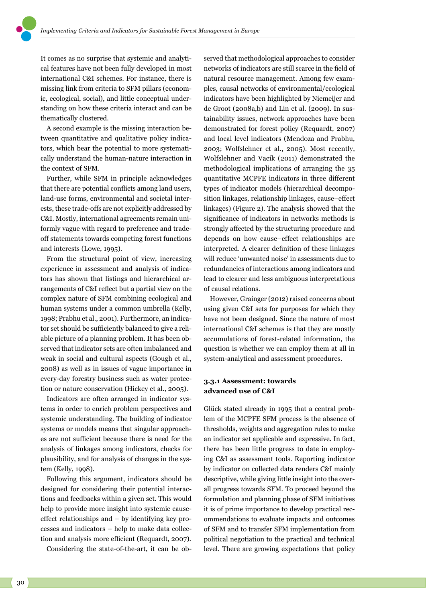It comes as no surprise that systemic and analytical features have not been fully developed in most international C&I schemes. For instance, there is missing link from criteria to SFM pillars (economic, ecological, social), and little conceptual understanding on how these criteria interact and can be thematically clustered.

A second example is the missing interaction between quantitative and qualitative policy indicators, which bear the potential to more systematically understand the human-nature interaction in the context of SFM.

Further, while SFM in principle acknowledges that there are potential conflicts among land users, land-use forms, environmental and societal interests, these trade-offs are not explicitly addressed by C&I. Mostly, international agreements remain uniformly vague with regard to preference and tradeoff statements towards competing forest functions and interests (Lowe, 1995).

From the structural point of view, increasing experience in assessment and analysis of indicators has shown that listings and hierarchical arrangements of C&I reflect but a partial view on the complex nature of SFM combining ecological and human systems under a common umbrella (Kelly, 1998; Prabhu et al., 2001). Furthermore, an indicator set should be sufficiently balanced to give a reliable picture of a planning problem. It has been observed that indicator sets are often imbalanced and weak in social and cultural aspects (Gough et al., 2008) as well as in issues of vague importance in every-day forestry business such as water protection or nature conservation (Hickey et al., 2005).

Indicators are often arranged in indicator systems in order to enrich problem perspectives and systemic understanding. The building of indicator systems or models means that singular approaches are not sufficient because there is need for the analysis of linkages among indicators, checks for plausibility, and for analysis of changes in the system (Kelly, 1998).

Following this argument, indicators should be designed for considering their potential interactions and feedbacks within a given set. This would help to provide more insight into systemic causeeffect relationships and – by identifying key processes and indicators – help to make data collection and analysis more efficient (Requardt, 2007).

Considering the state-of-the-art, it can be ob-

served that methodological approaches to consider networks of indicators are still scarce in the field of natural resource management. Among few examples, causal networks of environmental/ecological indicators have been highlighted by Niemeijer and de Groot (2008a,b) and Lin et al. (2009). In sustainability issues, network approaches have been demonstrated for forest policy (Requardt, 2007) and local level indicators (Mendoza and Prabhu, 2003; Wolfslehner et al., 2005). Most recently, Wolfslehner and Vacik (2011) demonstrated the methodological implications of arranging the 35 quantitative MCPFE indicators in three different types of indicator models (hierarchical decomposition linkages, relationship linkages, cause–effect linkages) (Figure 2). The analysis showed that the significance of indicators in networks methods is strongly affected by the structuring procedure and depends on how cause–effect relationships are interpreted. A clearer definition of these linkages will reduce 'unwanted noise' in assessments due to redundancies of interactions among indicators and lead to clearer and less ambiguous interpretations of causal relations.

However, Grainger (2012) raised concerns about using given C&I sets for purposes for which they have not been designed. Since the nature of most international C&I schemes is that they are mostly accumulations of forest-related information, the question is whether we can employ them at all in system-analytical and assessment procedures.

### **3.3.1 Assessment: towards advanced use of C&I**

Glück stated already in 1995 that a central problem of the MCPFE SFM process is the absence of thresholds, weights and aggregation rules to make an indicator set applicable and expressive. In fact, there has been little progress to date in employing C&I as assessment tools. Reporting indicator by indicator on collected data renders C&I mainly descriptive, while giving little insight into the overall progress towards SFM. To proceed beyond the formulation and planning phase of SFM initiatives it is of prime importance to develop practical recommendations to evaluate impacts and outcomes of SFM and to transfer SFM implementation from political negotiation to the practical and technical level. There are growing expectations that policy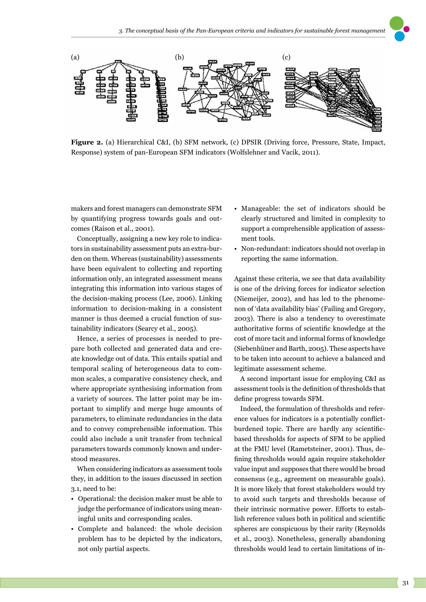

**Figure 2.** (a) Hierarchical C&I, (b) SFM network, (c) DPSIR (Driving force, Pressure, State, Impact, Response) system of pan-European SFM indicators (Wolfslehner and Vacik, 2011).

makers and forest managers can demonstrate SFM by quantifying progress towards goals and outcomes (Raison et al., 2001).

Conceptually, assigning a new key role to indicators in sustainability assessment puts an extra-burden on them. Whereas (sustainability) assessments have been equivalent to collecting and reporting information only, an integrated assessment means integrating this information into various stages of the decision-making process (Lee, 2006). Linking information to decision-making in a consistent manner is thus deemed a crucial function of sustainability indicators (Searcy et al., 2005).

Hence, a series of processes is needed to prepare both collected and generated data and create knowledge out of data. This entails spatial and temporal scaling of heterogeneous data to common scales, a comparative consistency check, and where appropriate synthesising information from a variety of sources. The latter point may be important to simplify and merge huge amounts of parameters, to eliminate redundancies in the data and to convey comprehensible information. This could also include a unit transfer from technical parameters towards commonly known and understood measures.

When considering indicators as assessment tools they, in addition to the issues discussed in section 3.1, need to be:

- Operational: the decision maker must be able to judge the performance of indicators using meaningful units and corresponding scales.
- Complete and balanced: the whole decision problem has to be depicted by the indicators, not only partial aspects.
- Manageable: the set of indicators should be clearly structured and limited in complexity to support a comprehensible application of assessment tools.
- Non-redundant: indicators should not overlap in reporting the same information.

Against these criteria, we see that data availability is one of the driving forces for indicator selection (Niemeijer, 2002), and has led to the phenomenon of 'data availability bias' (Failing and Gregory, 2003). There is also a tendency to overestimate authoritative forms of scientific knowledge at the cost of more tacit and informal forms of knowledge (Siebenhüner and Barth, 2005). These aspects have to be taken into account to achieve a balanced and legitimate assessment scheme.

A second important issue for employing C&I as assessment tools is the definition of thresholds that define progress towards SFM.

Indeed, the formulation of thresholds and reference values for indicators is a potentially conflictburdened topic. There are hardly any scientificbased thresholds for aspects of SFM to be applied at the FMU level (Rametsteiner, 2001). Thus, defining thresholds would again require stakeholder value input and supposes that there would be broad consensus (e.g., agreement on measurable goals). It is more likely that forest stakeholders would try to avoid such targets and thresholds because of their intrinsic normative power. Efforts to establish reference values both in political and scientific spheres are conspicuous by their rarity (Reynolds et al., 2003). Nonetheless, generally abandoning thresholds would lead to certain limitations of in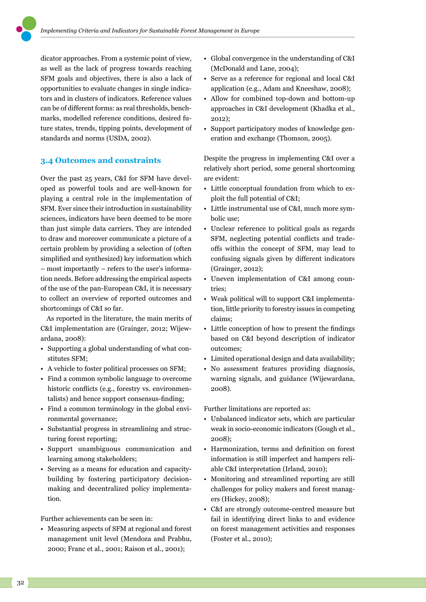dicator approaches. From a systemic point of view, as well as the lack of progress towards reaching SFM goals and objectives, there is also a lack of opportunities to evaluate changes in single indicators and in clusters of indicators. Reference values can be of different forms: as real thresholds, benchmarks, modelled reference conditions, desired future states, trends, tipping points, development of standards and norms (USDA, 2002).

#### **3.4 Outcomes and constraints**

Over the past 25 years, C&I for SFM have developed as powerful tools and are well-known for playing a central role in the implementation of SFM. Ever since their introduction in sustainability sciences, indicators have been deemed to be more than just simple data carriers. They are intended to draw and moreover communicate a picture of a certain problem by providing a selection of (often simplified and synthesized) key information which – most importantly – refers to the user's information needs. Before addressing the empirical aspects of the use of the pan-European C&I, it is necessary to collect an overview of reported outcomes and shortcomings of C&I so far.

As reported in the literature, the main merits of C&I implementation are (Grainger, 2012; Wijewardana, 2008):

- Supporting a global understanding of what constitutes SFM;
- A vehicle to foster political processes on SFM;
- Find a common symbolic language to overcome historic conflicts (e.g., forestry vs. environmentalists) and hence support consensus-finding;
- Find a common terminology in the global environmental governance;
- Substantial progress in streamlining and structuring forest reporting;
- Support unambiguous communication and learning among stakeholders;
- Serving as a means for education and capacitybuilding by fostering participatory decisionmaking and decentralized policy implementation.

Further achievements can be seen in:

• Measuring aspects of SFM at regional and forest management unit level (Mendoza and Prabhu, 2000; Franc et al., 2001; Raison et al., 2001);

- Global convergence in the understanding of C&I (McDonald and Lane, 2004);
- Serve as a reference for regional and local C&I application (e.g., Adam and Kneeshaw, 2008);
- Allow for combined top-down and bottom-up approaches in C&I development (Khadka et al., 2012);
- Support participatory modes of knowledge generation and exchange (Thomson, 2005).

Despite the progress in implementing C&I over a relatively short period, some general shortcoming are evident:

- Little conceptual foundation from which to exploit the full potential of C&I;
- Little instrumental use of C&I, much more symbolic use;
- Unclear reference to political goals as regards SFM, neglecting potential conflicts and tradeoffs within the concept of SFM, may lead to confusing signals given by different indicators (Grainger, 2012);
- Uneven implementation of C&I among countries;
- Weak political will to support C&I implementation, little priority to forestry issues in competing claims;
- Little conception of how to present the findings based on C&I beyond description of indicator outcomes;
- Limited operational design and data availability;
- No assessment features providing diagnosis, warning signals, and guidance (Wijewardana, 2008).

Further limitations are reported as:

- Unbalanced indicator sets, which are particular weak in socio-economic indicators (Gough et al., 2008);
- Harmonization, terms and definition on forest information is still imperfect and hampers reliable C&I interpretation (Irland, 2010);
- Monitoring and streamlined reporting are still challenges for policy makers and forest managers (Hickey, 2008);
- C&I are strongly outcome-centred measure but fail in identifying direct links to and evidence on forest management activities and responses (Foster et al., 2010);